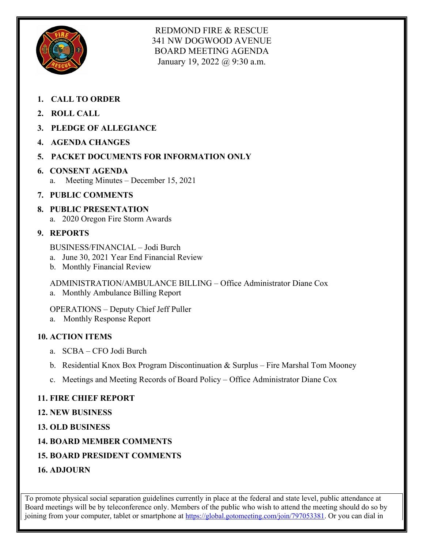

REDMOND FIRE & RESCUE 341 NW DOGWOOD AVENUE BOARD MEETING AGENDA January 19, 2022 @ 9:30 a.m.

- **1. CALL TO ORDER**
- **2. ROLL CALL**
- **3. PLEDGE OF ALLEGIANCE**
- **4. AGENDA CHANGES**
- **5. PACKET DOCUMENTS FOR INFORMATION ONLY**
- **6. CONSENT AGENDA** a. Meeting Minutes – December 15, 2021
- **7. PUBLIC COMMENTS**
- **8. PUBLIC PRESENTATION** a. 2020 Oregon Fire Storm Awards
- **9. REPORTS**
	- BUSINESS/FINANCIAL Jodi Burch
	- a. June 30, 2021 Year End Financial Review
	- b. Monthly Financial Review

ADMINISTRATION/AMBULANCE BILLING – Office Administrator Diane Cox

a. Monthly Ambulance Billing Report

OPERATIONS – Deputy Chief Jeff Puller

a. Monthly Response Report

#### **10. ACTION ITEMS**

- a. SCBA CFO Jodi Burch
- b. Residential Knox Box Program Discontinuation & Surplus Fire Marshal Tom Mooney
- c. Meetings and Meeting Records of Board Policy Office Administrator Diane Cox

# **11. FIRE CHIEF REPORT**

#### **12. NEW BUSINESS**

- **13. OLD BUSINESS**
- **14. BOARD MEMBER COMMENTS**
- **15. BOARD PRESIDENT COMMENTS**
- **16. ADJOURN**

To promote physical social separation guidelines currently in place at the federal and state level, public attendance at Board meetings will be by teleconference only. Members of the public who wish to attend the meeting should do so by joining from your computer, tablet or smartphone at [https://global.gotomeeting.com/join/797053381.](https://global.gotomeeting.com/join/797053381) Or you can dial in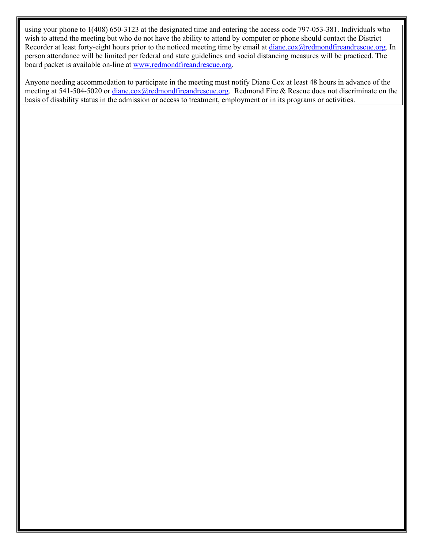using your phone to 1(408) 650-3123 at the designated time and entering the access code 797-053-381. Individuals who wish to attend the meeting but who do not have the ability to attend by computer or phone should contact the District Recorder at least forty-eight hours prior to the noticed meeting time by email at [diane.cox@redmondfireandrescue.org.](mailto:diane.cox@redmondfireandrescue.org) In person attendance will be limited per federal and state guidelines and social distancing measures will be practiced. The board packet is available on-line at [www.redmondfireandrescue.org.](http://www.redmondfireandrescue.org/)

Anyone needing accommodation to participate in the meeting must notify Diane Cox at least 48 hours in advance of the meeting at 541-504-5020 or [diane.cox@redmondfireandrescue.org.](mailto:diane.cox@redmondfireandrescue.org) Redmond Fire & Rescue does not discriminate on the basis of disability status in the admission or access to treatment, employment or in its programs or activities.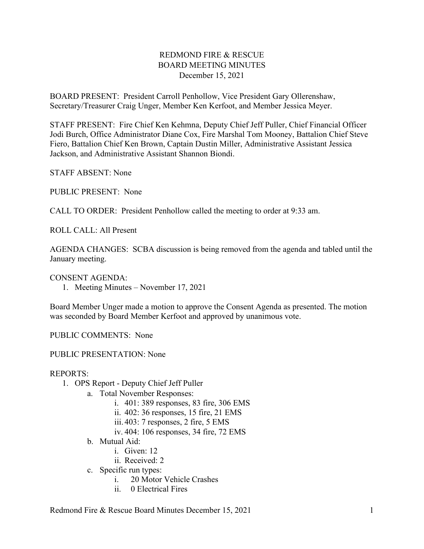#### REDMOND FIRE & RESCUE BOARD MEETING MINUTES December 15, 2021

BOARD PRESENT: President Carroll Penhollow, Vice President Gary Ollerenshaw, Secretary/Treasurer Craig Unger, Member Ken Kerfoot, and Member Jessica Meyer.

STAFF PRESENT: Fire Chief Ken Kehmna, Deputy Chief Jeff Puller, Chief Financial Officer Jodi Burch, Office Administrator Diane Cox, Fire Marshal Tom Mooney, Battalion Chief Steve Fiero, Battalion Chief Ken Brown, Captain Dustin Miller, Administrative Assistant Jessica Jackson, and Administrative Assistant Shannon Biondi.

STAFF ABSENT: None

PUBLIC PRESENT: None

CALL TO ORDER: President Penhollow called the meeting to order at 9:33 am.

ROLL CALL: All Present

AGENDA CHANGES: SCBA discussion is being removed from the agenda and tabled until the January meeting.

CONSENT AGENDA:

1. Meeting Minutes – November 17, 2021

Board Member Unger made a motion to approve the Consent Agenda as presented. The motion was seconded by Board Member Kerfoot and approved by unanimous vote.

PUBLIC COMMENTS: None

PUBLIC PRESENTATION: None

#### REPORTS:

- 1. OPS Report Deputy Chief Jeff Puller
	- a. Total November Responses:
		- i. 401: 389 responses, 83 fire, 306 EMS
		- ii. 402: 36 responses, 15 fire, 21 EMS
		- iii. 403: 7 responses, 2 fire, 5 EMS
		- iv. 404: 106 responses, 34 fire, 72 EMS
	- b. Mutual Aid:
		- i. Given: 12
		- ii. Received: 2
	- c. Specific run types:
		- i. 20 Motor Vehicle Crashes
		- ii. 0 Electrical Fires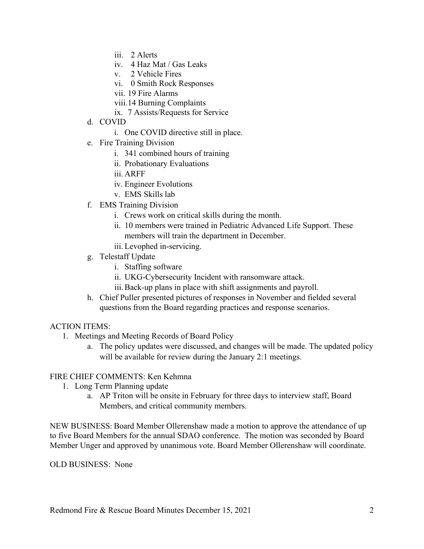- iii. 2 Alerts
- iv. 4 Haz Mat / Gas Leaks
- v. 2 Vehicle Fires
- vi. 0 Smith Rock Responses
- vii. 19 Fire Alarms
- viii.14 Burning Complaints
- ix. 7 Assists/Requests for Service
- d. COVID
	- i. One COVID directive still in place.
- e. Fire Training Division
	- i. 341 combined hours of training
	- ii. Probationary Evaluations
	- iii. ARFF
	- iv. Engineer Evolutions
	- v. EMS Skills lab
- f. EMS Training Division
	- i. Crews work on critical skills during the month.
	- ii. 10 members were trained in Pediatric Advanced Life Support. These members will train the department in December.
	- iii. Levophed in-servicing.
- g. Telestaff Update
	- i. Staffing software
	- ii. UKG-Cybersecurity Incident with ransomware attack.
	- iii.Back-up plans in place with shift assignments and payroll.
- h. Chief Puller presented pictures of responses in November and fielded several questions from the Board regarding practices and response scenarios.

#### ACTION ITEMS:

- 1. Meetings and Meeting Records of Board Policy
	- a. The policy updates were discussed, and changes will be made. The updated policy will be available for review during the January 2:1 meetings.

#### FIRE CHIEF COMMENTS: Ken Kehmna

- 1. Long Term Planning update
	- a. AP Triton will be onsite in February for three days to interview staff, Board Members, and critical community members.

NEW BUSINESS: Board Member Ollerenshaw made a motion to approve the attendance of up to five Board Members for the annual SDAO conference. The motion was seconded by Board Member Unger and approved by unanimous vote. Board Member Ollerenshaw will coordinate.

OLD BUSINESS: None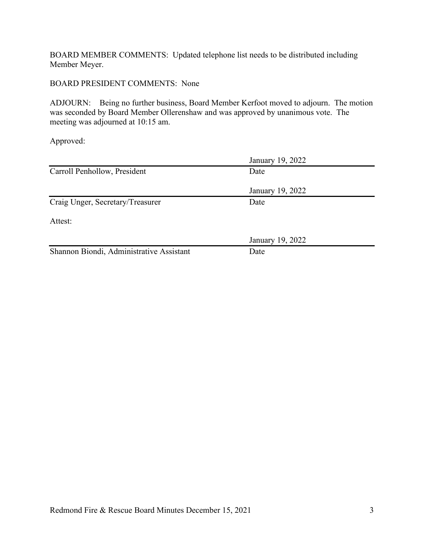BOARD MEMBER COMMENTS: Updated telephone list needs to be distributed including Member Meyer.

#### BOARD PRESIDENT COMMENTS: None

ADJOURN: Being no further business, Board Member Kerfoot moved to adjourn. The motion was seconded by Board Member Ollerenshaw and was approved by unanimous vote. The meeting was adjourned at 10:15 am.

Approved:

|                                          | January 19, 2022 |  |
|------------------------------------------|------------------|--|
| Carroll Penhollow, President             | Date             |  |
|                                          | January 19, 2022 |  |
| Craig Unger, Secretary/Treasurer         | Date             |  |
| Attest:                                  |                  |  |
|                                          | January 19, 2022 |  |
| Shannon Biondi, Administrative Assistant | Date             |  |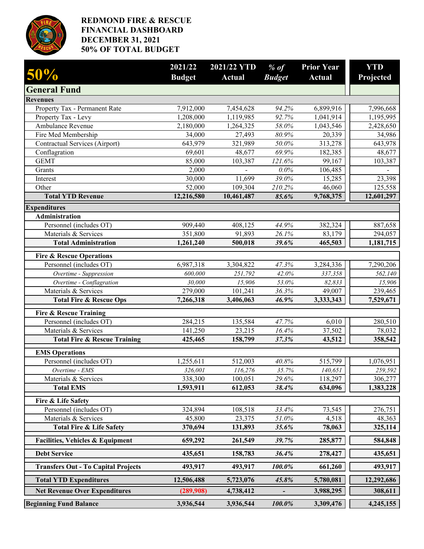

#### **REDMOND FIRE & RESCUE FINANCIAL DASHBOARD DECEMBER 31, 2021 50% OF TOTAL BUDGET**

| 50%                                                                   | 2021/22<br><b>Budget</b> | 2021/22 YTD<br><b>Actual</b> | $%$ of<br><b>Budget</b> | <b>Prior Year</b><br><b>Actual</b> | <b>YTD</b><br>Projected |
|-----------------------------------------------------------------------|--------------------------|------------------------------|-------------------------|------------------------------------|-------------------------|
| <b>General Fund</b>                                                   |                          |                              |                         |                                    |                         |
| <b>Revenues</b>                                                       |                          |                              |                         |                                    |                         |
| Property Tax - Permanent Rate                                         | 7,912,000                | 7,454,628                    | 94.2%                   | 6,899,916                          | 7,996,668               |
| Property Tax - Levy                                                   | 1,208,000                | 1,119,985                    | 92.7%                   | 1,041,914                          | 1,195,995               |
| Ambulance Revenue                                                     | 2,180,000                | 1,264,325                    | 58.0%                   | 1,043,546                          | 2,428,650               |
| Fire Med Membership                                                   | 34,000                   | 27,493                       | 80.9%                   | 20,339                             | 34,986                  |
| Contractual Services (Airport)                                        | 643,979                  | 321,989                      | 50.0%                   | 313,278                            | 643,978                 |
| Conflagration                                                         | 69,601                   | 48,677                       | 69.9%                   | 182,385                            | 48,677                  |
| <b>GEMT</b>                                                           | 85,000                   | 103,387                      | 121.6%                  | 99,167                             | 103,387                 |
| Grants                                                                | 2,000                    |                              | 0.0%                    | 106,485                            |                         |
| Interest                                                              | 30,000                   | 11,699                       | 39.0%                   | 15,285                             | 23,398                  |
| Other                                                                 | 52,000                   | 109,304                      | 210.2%                  | 46,060                             | 125,558                 |
| <b>Total YTD Revenue</b>                                              | 12,216,580               | 10,461,487                   | 85.6%                   | 9,768,375                          | 12,601,297              |
| <b>Expenditures</b>                                                   |                          |                              |                         |                                    |                         |
| Administration                                                        |                          |                              |                         |                                    |                         |
| Personnel (includes OT)                                               | 909,440                  | 408,125                      | 44.9%                   | 382,324                            | 887,658                 |
| Materials & Services                                                  | 351,800                  | 91,893                       | 26.1%                   | 83,179                             | 294,057                 |
| <b>Total Administration</b>                                           | 1,261,240                | 500,018                      | 39.6%                   | 465,503                            | 1,181,715               |
| <b>Fire &amp; Rescue Operations</b>                                   |                          |                              |                         |                                    |                         |
| Personnel (includes OT)                                               | 6,987,318                | 3,304,822                    | 47.3%                   | 3,284,336                          | 7,290,206               |
| Overtime - Suppression                                                | 600,000                  | 251,792                      | 42.0%                   | 337,358                            | 562,140                 |
| Overtime - Conflagration                                              | 30,000                   | 15,906                       | 53.0%                   | 82,833                             | 15,906                  |
| Materials & Services                                                  | 279,000                  | 101,241                      | 36.3%                   | 49,007                             | 239,465                 |
| <b>Total Fire &amp; Rescue Ops</b>                                    | 7,266,318                | 3,406,063                    | 46.9%                   | 3,333,343                          | 7,529,671               |
| <b>Fire &amp; Rescue Training</b>                                     |                          |                              |                         |                                    |                         |
| Personnel (includes OT)                                               | 284,215                  | 135,584                      | 47.7%                   | 6,010                              | 280,510                 |
| Materials & Services                                                  | 141,250                  | 23,215                       | 16.4%                   | 37,502                             | 78,032                  |
| <b>Total Fire &amp; Rescue Training</b>                               | 425,465                  | 158,799                      | 37.3%                   | 43,512                             | 358,542                 |
| <b>EMS Operations</b>                                                 |                          |                              |                         |                                    |                         |
| Personnel (includes OT)                                               | 1,255,611                | 512,003                      | 40.8%                   | 515,799                            | 1,076,951               |
| Overtime - EMS                                                        | 326,001                  | 116,276                      | 35.7%                   | 140,651                            | 259,592                 |
| Materials & Services                                                  | 338,300                  | 100,051                      | 29.6%                   | 118,297                            | 306,277                 |
| <b>Total EMS</b>                                                      | 1,593,911                | 612,053                      | 38.4%                   | 634,096                            | 1,383,228               |
| Fire & Life Safety                                                    |                          |                              |                         |                                    |                         |
| Personnel (includes OT)                                               | 324,894                  | 108,518                      | 33.4%                   | 73,545                             | 276,751                 |
| Materials & Services                                                  | 45,800                   | 23,375                       | 51.0%                   | 4,518                              | 48,363                  |
| <b>Total Fire &amp; Life Safety</b>                                   | 370,694                  | 131,893                      | 35.6%                   | 78,063                             | 325,114                 |
| <b>Facilities, Vehicles &amp; Equipment</b>                           | 659,292                  | 261,549                      | 39.7%                   | 285,877                            | 584,848                 |
| <b>Debt Service</b>                                                   | 435,651                  | 158,783                      | 36.4%                   | 278,427                            | 435,651                 |
| <b>Transfers Out - To Capital Projects</b>                            | 493,917                  | 493,917                      | 100.0%                  | 661,260                            | 493,917                 |
|                                                                       |                          |                              |                         |                                    |                         |
| <b>Total YTD Expenditures</b><br><b>Net Revenue Over Expenditures</b> | 12,506,488<br>(289,908)  | 5,723,076<br>4,738,412       | 45.8%                   | 5,780,081<br>3,988,295             | 12,292,686<br>308,611   |
|                                                                       |                          |                              |                         |                                    |                         |
| <b>Beginning Fund Balance</b>                                         | 3,936,544                | 3,936,544                    | 100.0%                  | 3,309,476                          | 4,245,155               |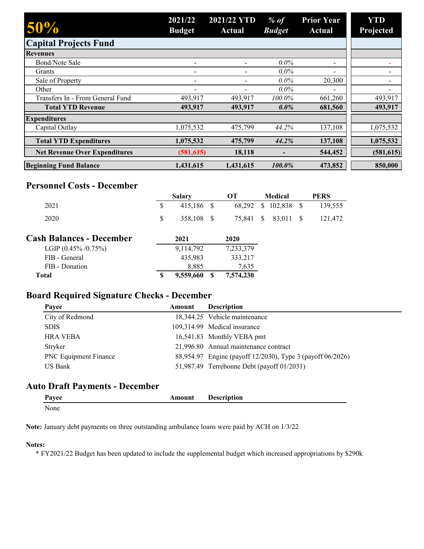| 50%                                  | 2021/22<br><b>Budget</b> | 2021/22 YTD<br>Actual | $%$ of<br><b>Budget</b> | <b>Prior Year</b><br><b>Actual</b> | YTD<br>Projected         |
|--------------------------------------|--------------------------|-----------------------|-------------------------|------------------------------------|--------------------------|
| <b>Capital Projects Fund</b>         |                          |                       |                         |                                    |                          |
| <b>Revenues</b>                      |                          |                       |                         |                                    |                          |
| <b>Bond/Note Sale</b>                |                          |                       | $0.0\%$                 | -                                  |                          |
| Grants                               |                          |                       | $0.0\%$                 | -                                  |                          |
| Sale of Property                     | -                        |                       | $0.0\%$                 | 20,300                             |                          |
| Other                                | $\overline{\phantom{0}}$ |                       | $0.0\%$                 | $\overline{\phantom{0}}$           | $\overline{\phantom{a}}$ |
| Transfers In - From General Fund     | 493,917                  | 493,917               | 100.0%                  | 661,260                            | 493,917                  |
| <b>Total YTD Revenue</b>             | 493,917                  | 493,917               | $0.0\%$                 | 681,560                            | 493,917                  |
| <b>Expenditures</b>                  |                          |                       |                         |                                    |                          |
| Capital Outlay                       | 1,075,532                | 475,799               | 44.2%                   | 137,108                            | 1,075,532                |
| <b>Total YTD Expenditures</b>        | 1,075,532                | 475,799               | 44.2%                   | 137,108                            | 1,075,532                |
| <b>Net Revenue Over Expenditures</b> | (581, 615)               | 18,118                |                         | 544,452                            | (581, 615)               |
| <b>Beginning Fund Balance</b>        | 1,431,615                | 1,431,615             | 100.0%                  | 473,852                            | 850,000                  |

#### **Personnel Costs - December**

|                                 |    | <b>Salary</b> | OТ        |               | <b>Medical</b> |     | <b>PERS</b> |
|---------------------------------|----|---------------|-----------|---------------|----------------|-----|-------------|
| 2021                            | \$ | 415,186 \$    | 68.292    | \$            | 102,838 \$     |     | 139,555     |
| 2020                            | S  | 358,108 \$    | 75,841    | <sup>\$</sup> | 83.011         | - S | 121,472     |
| <b>Cash Balances - December</b> |    | 2021          | 2020      |               |                |     |             |
| LGIP $(0.45\% / 0.75\%)$        |    | 9,114,792     | 7,233,379 |               |                |     |             |
| FIB - General                   |    | 435,983       | 333,217   |               |                |     |             |
| FIB - Donation                  |    | 8,885         | 7,635     |               |                |     |             |
| Total                           | S  | 9,559,660     | 7,574,230 |               |                |     |             |

# **Board Required Signature Checks - December**

| Payee                        | Amount | <b>Description</b>                                         |
|------------------------------|--------|------------------------------------------------------------|
| City of Redmond              |        | 18,344.25 Vehicle maintenance                              |
| <b>SDIS</b>                  |        | 109,314.99 Medical insurance                               |
| <b>HRA VEBA</b>              |        | 16,541.83 Monthly VEBA pmt                                 |
| Stryker                      |        | 21,996.80 Annual maintenance contract                      |
| <b>PNC</b> Equipment Finance |        | 88,954.97 Engine (payoff 12/2030), Type 3 (payoff 06/2026) |
| US Bank                      |        | 51,987.49 Terrebonne Debt (payoff 01/2031)                 |
|                              |        |                                                            |

# **Auto Draft Payments - December**

| Payee | Amount | <b>Description</b> |
|-------|--------|--------------------|
| None  |        |                    |

**Note:** January debt payments on three outstanding ambulance loans were paid by ACH on 1/3/22

#### **Notes:**

\* FY2021/22 Budget has been updated to include the supplemental budget which increased appropriations by \$290k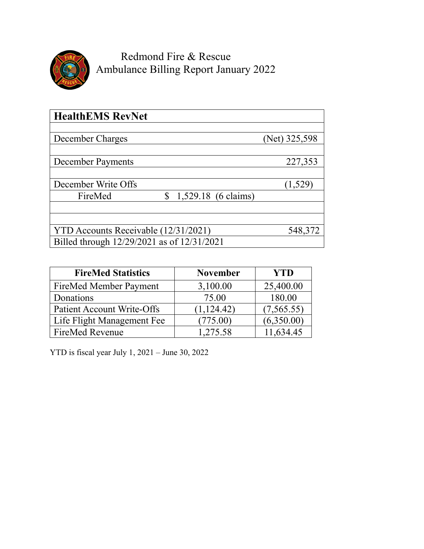

Redmond Fire & Rescue Ambulance Billing Report January 2022

| <b>HealthEMS RevNet</b>                        |               |
|------------------------------------------------|---------------|
|                                                |               |
| December Charges                               | (Net) 325,598 |
| <b>December Payments</b>                       | 227,353       |
|                                                |               |
| December Write Offs                            | (1,529)       |
| 1,529.18 (6 claims)<br>$\mathbb{S}$<br>FireMed |               |
|                                                |               |
| YTD Accounts Receivable (12/31/2021)           | 548,372       |
| Billed through 12/29/2021 as of 12/31/2021     |               |

| <b>FireMed Statistics</b>         | <b>November</b> | <b>YTD</b> |
|-----------------------------------|-----------------|------------|
| FireMed Member Payment            | 3,100.00        | 25,400.00  |
| Donations                         | 75.00           | 180.00     |
| <b>Patient Account Write-Offs</b> | (1, 124.42)     | (7,565.55) |
| Life Flight Management Fee        | (775.00)        | (6,350.00) |
| FireMed Revenue                   | 1,275.58        | 11.634.45  |

YTD is fiscal year July 1, 2021 – June 30, 2022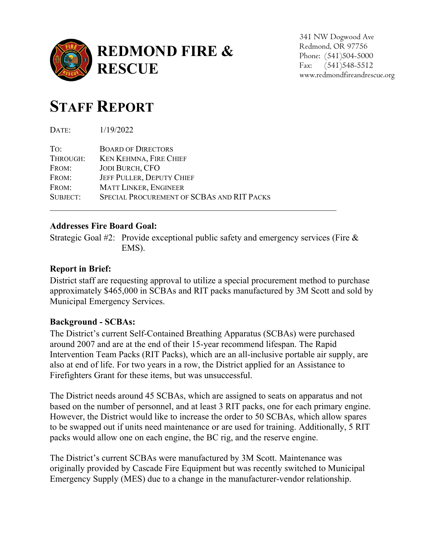

341 NW Dogwood Ave Redmond, OR 97756 Phone: (541)504-5000 Fax: (541)548-5512 www.redmondfireandrescue.org

# **STAFF REPORT**

DATE: 1/19/2022

| To:      | <b>BOARD OF DIRECTORS</b>                  |
|----------|--------------------------------------------|
| THROUGH: | <b>KEN KEHMNA, FIRE CHIEF</b>              |
| FROM:    | <b>JODI BURCH, CFO</b>                     |
| FROM:    | <b>JEFF PULLER, DEPUTY CHIEF</b>           |
| FROM:    | <b>MATT LINKER, ENGINEER</b>               |
| SUBJECT: | SPECIAL PROCUREMENT OF SCBAS AND RIT PACKS |
|          |                                            |

# **Addresses Fire Board Goal:**

Strategic Goal #2: Provide exceptional public safety and emergency services (Fire & EMS).

# **Report in Brief:**

District staff are requesting approval to utilize a special procurement method to purchase approximately \$465,000 in SCBAs and RIT packs manufactured by 3M Scott and sold by Municipal Emergency Services.

# **Background - SCBAs:**

The District's current Self-Contained Breathing Apparatus (SCBAs) were purchased around 2007 and are at the end of their 15-year recommend lifespan. The Rapid Intervention Team Packs (RIT Packs), which are an all-inclusive portable air supply, are also at end of life. For two years in a row, the District applied for an Assistance to Firefighters Grant for these items, but was unsuccessful.

The District needs around 45 SCBAs, which are assigned to seats on apparatus and not based on the number of personnel, and at least 3 RIT packs, one for each primary engine. However, the District would like to increase the order to 50 SCBAs, which allow spares to be swapped out if units need maintenance or are used for training. Additionally, 5 RIT packs would allow one on each engine, the BC rig, and the reserve engine.

The District's current SCBAs were manufactured by 3M Scott. Maintenance was originally provided by Cascade Fire Equipment but was recently switched to Municipal Emergency Supply (MES) due to a change in the manufacturer-vendor relationship.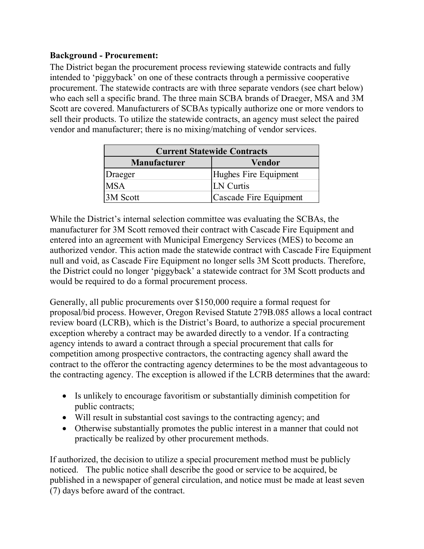# **Background - Procurement:**

The District began the procurement process reviewing statewide contracts and fully intended to 'piggyback' on one of these contracts through a permissive cooperative procurement. The statewide contracts are with three separate vendors (see chart below) who each sell a specific brand. The three main SCBA brands of Draeger, MSA and 3M Scott are covered. Manufacturers of SCBAs typically authorize one or more vendors to sell their products. To utilize the statewide contracts, an agency must select the paired vendor and manufacturer; there is no mixing/matching of vendor services.

|                     | <b>Current Statewide Contracts</b> |
|---------------------|------------------------------------|
| <b>Manufacturer</b> | <b>Vendor</b>                      |
| Draeger             | Hughes Fire Equipment              |
| <b>MSA</b>          | <b>LN</b> Curtis                   |
| 3M Scott            | Cascade Fire Equipment             |

While the District's internal selection committee was evaluating the SCBAs, the manufacturer for 3M Scott removed their contract with Cascade Fire Equipment and entered into an agreement with Municipal Emergency Services (MES) to become an authorized vendor. This action made the statewide contract with Cascade Fire Equipment null and void, as Cascade Fire Equipment no longer sells 3M Scott products. Therefore, the District could no longer 'piggyback' a statewide contract for 3M Scott products and would be required to do a formal procurement process.

Generally, all public procurements over \$150,000 require a formal request for proposal/bid process. However, Oregon Revised Statute 279B.085 allows a local contract review board (LCRB), which is the District's Board, to authorize a special procurement exception whereby a contract may be awarded directly to a vendor. If a contracting agency intends to award a contract through a special procurement that calls for competition among prospective contractors, the contracting agency shall award the contract to the offeror the contracting agency determines to be the most advantageous to the contracting agency. The exception is allowed if the LCRB determines that the award:

- Is unlikely to encourage favoritism or substantially diminish competition for public contracts;
- Will result in substantial cost savings to the contracting agency; and
- Otherwise substantially promotes the public interest in a manner that could not practically be realized by other procurement methods.

If authorized, the decision to utilize a special procurement method must be publicly noticed. The public notice shall describe the good or service to be acquired, be published in a newspaper of general circulation, and notice must be made at least seven (7) days before award of the contract.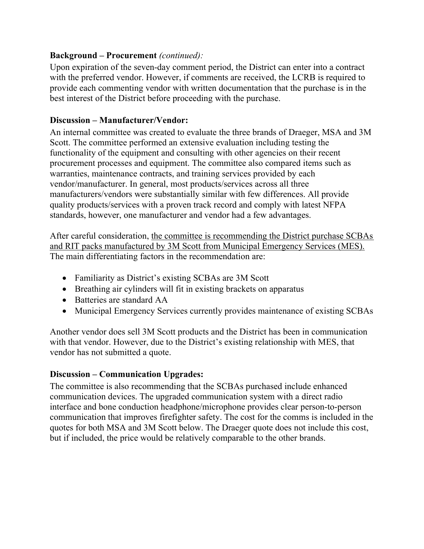#### **Background – Procurement** *(continued):*

Upon expiration of the seven-day comment period, the District can enter into a contract with the preferred vendor. However, if comments are received, the LCRB is required to provide each commenting vendor with written documentation that the purchase is in the best interest of the District before proceeding with the purchase.

#### **Discussion – Manufacturer/Vendor:**

An internal committee was created to evaluate the three brands of Draeger, MSA and 3M Scott. The committee performed an extensive evaluation including testing the functionality of the equipment and consulting with other agencies on their recent procurement processes and equipment. The committee also compared items such as warranties, maintenance contracts, and training services provided by each vendor/manufacturer. In general, most products/services across all three manufacturers/vendors were substantially similar with few differences. All provide quality products/services with a proven track record and comply with latest NFPA standards, however, one manufacturer and vendor had a few advantages.

After careful consideration, the committee is recommending the District purchase SCBAs and RIT packs manufactured by 3M Scott from Municipal Emergency Services (MES). The main differentiating factors in the recommendation are:

- Familiarity as District's existing SCBAs are 3M Scott
- Breathing air cylinders will fit in existing brackets on apparatus
- Batteries are standard AA
- Municipal Emergency Services currently provides maintenance of existing SCBAs

Another vendor does sell 3M Scott products and the District has been in communication with that vendor. However, due to the District's existing relationship with MES, that vendor has not submitted a quote.

#### **Discussion – Communication Upgrades:**

The committee is also recommending that the SCBAs purchased include enhanced communication devices. The upgraded communication system with a direct radio interface and bone conduction headphone/microphone provides clear person-to-person communication that improves firefighter safety. The cost for the comms is included in the quotes for both MSA and 3M Scott below. The Draeger quote does not include this cost, but if included, the price would be relatively comparable to the other brands.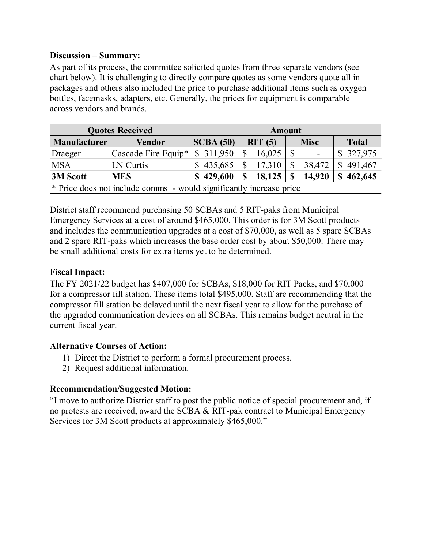#### **Discussion – Summary:**

As part of its process, the committee solicited quotes from three separate vendors (see chart below). It is challenging to directly compare quotes as some vendors quote all in packages and others also included the price to purchase additional items such as oxygen bottles, facemasks, adapters, etc. Generally, the prices for equipment is comparable across vendors and brands.

|                     | <b>Quotes Received</b>                                                         |           |               | <b>Amount</b> |               |                          |   |              |
|---------------------|--------------------------------------------------------------------------------|-----------|---------------|---------------|---------------|--------------------------|---|--------------|
| <b>Manufacturer</b> | Vendor                                                                         | SCBA(50)  |               | RIT(5)        |               | <b>Misc</b>              |   | <b>Total</b> |
| Draeger             | $\vert$ Cascade Fire Equip* $\vert$                                            | \$311,950 |               | $16,025$   \$ |               | $\overline{\phantom{a}}$ |   | \$ 327,975   |
| <b>MSA</b>          | LN Curtis                                                                      | \$435,685 | $\mathbb{S}$  | 17,310        | $\mathcal{S}$ | 38,472                   |   | \$491,467    |
| <b>3M Scott</b>     | <b>IMES</b>                                                                    | \$429,600 | <sup>\$</sup> | 18,125        | S             | 14,920                   | S | 462,645      |
|                     | <sup>*</sup> Price does not include comms - would significantly increase price |           |               |               |               |                          |   |              |

District staff recommend purchasing 50 SCBAs and 5 RIT-paks from Municipal Emergency Services at a cost of around \$465,000. This order is for 3M Scott products and includes the communication upgrades at a cost of \$70,000, as well as 5 spare SCBAs and 2 spare RIT-paks which increases the base order cost by about \$50,000. There may be small additional costs for extra items yet to be determined.

# **Fiscal Impact:**

The FY 2021/22 budget has \$407,000 for SCBAs, \$18,000 for RIT Packs, and \$70,000 for a compressor fill station. These items total \$495,000. Staff are recommending that the compressor fill station be delayed until the next fiscal year to allow for the purchase of the upgraded communication devices on all SCBAs. This remains budget neutral in the current fiscal year.

# **Alternative Courses of Action:**

- 1) Direct the District to perform a formal procurement process.
- 2) Request additional information.

# **Recommendation/Suggested Motion:**

"I move to authorize District staff to post the public notice of special procurement and, if no protests are received, award the SCBA & RIT-pak contract to Municipal Emergency Services for 3M Scott products at approximately \$465,000."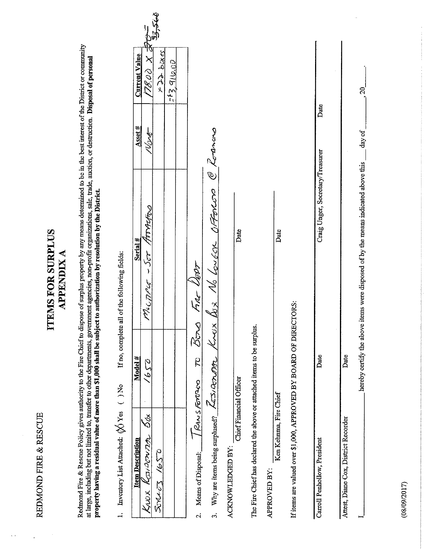REDMOND FIRE & RESCUE

# **ITEMS FOR SURPLUS APPENDIX A**

Redmond Fire & Rescue Policy gives authority to the Fire Chief to dispose of surplus property by any means determined to be in the best interest of the District or community at large, including but not limited to, transfer

 $\frac{1}{2}$ 

| I. Enventory List Attached: (X) Yes () No                                                           | If no, complete  | all of the following fields:                                                      |                                 |                        |
|-----------------------------------------------------------------------------------------------------|------------------|-----------------------------------------------------------------------------------|---------------------------------|------------------------|
| <b>Item Description</b>                                                                             | Model#           | Serial #                                                                          | <b>Current Value</b><br>Asset # |                        |
| б&<br>KNOX KOSIDENTIA                                                                               | 2391             | MOLTAGE - SOF MARATOS                                                             | どく でんど<br>NOVE                  |                        |
| SORNOS 1650                                                                                         |                  |                                                                                   | sapp poxes                      | ھ <del>اتح د</del> وگا |
|                                                                                                     |                  |                                                                                   | 243, 916,00                     |                        |
| / RANSFORD<br>Means of Disposal:<br>$\mathbf{\dot{c}}$                                              | <b>Bong</b><br>Ŗ | Fire User                                                                         |                                 |                        |
| Why are items being surplused? $\sqrt{\angle 5/\partial_{CD}/\partial_{CD}}$<br>$\ddot{\mathbf{c}}$ | KNUX             | C Rotenwa<br>Bux 16 Lougan OFForcor                                               |                                 |                        |
| Chief Financial Officer<br>ACKNOWLEDGED BY:                                                         |                  | Date                                                                              |                                 |                        |
| The Fire Chief has declared the above or attached items to be surplus.                              |                  |                                                                                   |                                 |                        |
| Ken Kehnma, Fire Chief<br>APPROVED BY:                                                              |                  | Date                                                                              |                                 |                        |
| If items are valued over \$1,000, APPROVED BY BOARD OF DIRECTORS:                                   |                  |                                                                                   |                                 |                        |
| Carroll Penhollow, President                                                                        | Date             | Craig Unger, Secretary/Treasurer                                                  | Date                            |                        |
| Attest, Diane Cox, District Recorder                                                                | Date             |                                                                                   |                                 |                        |
|                                                                                                     |                  | hereby certify the above items were disposed of by the means indicated above this | $\approx$<br>day of             |                        |

 $(08/09/2017)$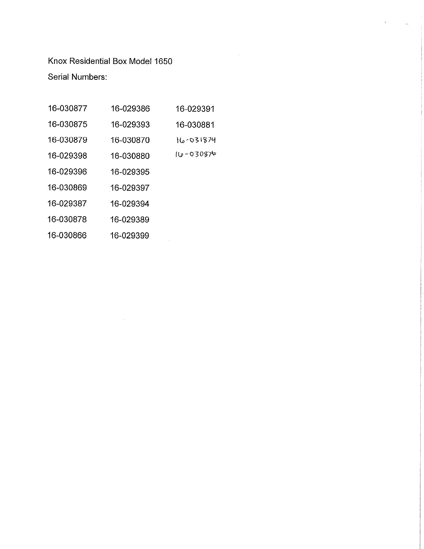Knox Residential Box Model 1650 **Serial Numbers:** 

| 16-030877 | 16-029386 | 16-029391      |
|-----------|-----------|----------------|
| 16-030875 | 16-029393 | 16-030881      |
| 16-030879 | 16-030870 | 16-031874      |
| 16-029398 | 16-030880 | $110 - 030876$ |
| 16-029396 | 16-029395 |                |
| 16-030869 | 16-029397 |                |
| 16-029387 | 16-029394 |                |
| 16-030878 | 16-029389 |                |
| 16-030866 | 16-029399 |                |
|           |           |                |

 $\mathcal{L}^{\text{max}}_{\text{max}}$  and  $\mathcal{L}^{\text{max}}_{\text{max}}$  and  $\mathcal{L}^{\text{max}}_{\text{max}}$ 

 $\langle \cdot, \cdot \rangle$ 

 $\sim 10^{10}$  km s  $^{-1}$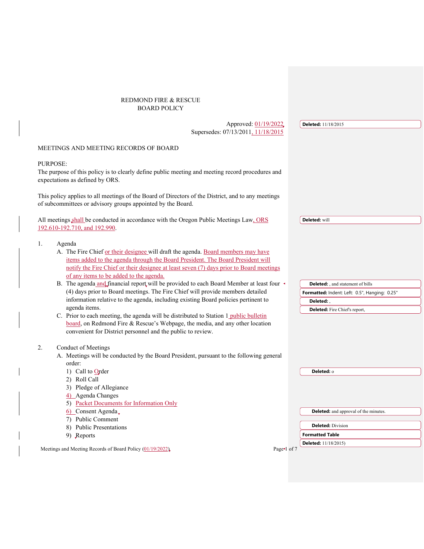#### REDMOND FIRE & RESCUE BOARD POLICY

| Approved: 01/19/2022                                                                                                                                                     |           | <b>Deleted:</b> 11/18/2015                    |
|--------------------------------------------------------------------------------------------------------------------------------------------------------------------------|-----------|-----------------------------------------------|
| Supersedes: 07/13/2011, 11/18/2015                                                                                                                                       |           |                                               |
|                                                                                                                                                                          |           |                                               |
| MEETINGS AND MEETING RECORDS OF BOARD                                                                                                                                    |           |                                               |
|                                                                                                                                                                          |           |                                               |
| <b>PURPOSE:</b>                                                                                                                                                          |           |                                               |
| The purpose of this policy is to clearly define public meeting and meeting record procedures and                                                                         |           |                                               |
| expectations as defined by ORS.                                                                                                                                          |           |                                               |
|                                                                                                                                                                          |           |                                               |
| This policy applies to all meetings of the Board of Directors of the District, and to any meetings                                                                       |           |                                               |
| of subcommittees or advisory groups appointed by the Board.                                                                                                              |           |                                               |
|                                                                                                                                                                          |           |                                               |
| All meetings shall be conducted in accordance with the Oregon Public Meetings Law, ORS<br>192.610-192.710, and 192.990.                                                  |           | Deleted: will                                 |
|                                                                                                                                                                          |           |                                               |
| 1.<br>Agenda                                                                                                                                                             |           |                                               |
| A. The Fire Chief or their designee will draft the agenda. Board members may have                                                                                        |           |                                               |
| items added to the agenda through the Board President. The Board President will                                                                                          |           |                                               |
| notify the Fire Chief or their designee at least seven (7) days prior to Board meetings                                                                                  |           |                                               |
| of any items to be added to the agenda.                                                                                                                                  |           |                                               |
|                                                                                                                                                                          |           |                                               |
| B. The agenda and financial report will be provided to each Board Member at least four<br>(4) days prior to Board meetings. The Fire Chief will provide members detailed |           | <b>Deleted:</b> , and statement of bills      |
|                                                                                                                                                                          |           | Formatted: Indent: Left: 0.5", Hanging: 0.25" |
| information relative to the agenda, including existing Board policies pertinent to<br>agenda items.                                                                      |           | Deleted: .                                    |
|                                                                                                                                                                          |           | Deleted: Fire Chief's report,                 |
| C. Prior to each meeting, the agenda will be distributed to Station 1 public bulletin<br>board, on Redmond Fire & Rescue's Webpage, the media, and any other location    |           |                                               |
|                                                                                                                                                                          |           |                                               |
| convenient for District personnel and the public to review.                                                                                                              |           |                                               |
| Conduct of Meetings<br>2.                                                                                                                                                |           |                                               |
| A. Meetings will be conducted by the Board President, pursuant to the following general                                                                                  |           |                                               |
| order:                                                                                                                                                                   |           |                                               |
| 1) Call to $Q$ rder                                                                                                                                                      |           | Deleted: o                                    |
| 2) Roll Call                                                                                                                                                             |           |                                               |
| 3) Pledge of Allegiance                                                                                                                                                  |           |                                               |
| 4) Agenda Changes                                                                                                                                                        |           |                                               |
| 5) Packet Documents for Information Only                                                                                                                                 |           |                                               |
| 6) Consent Agenda.                                                                                                                                                       |           | <b>Deleted:</b> and approval of the minutes.  |
| 7) Public Comment                                                                                                                                                        |           |                                               |
| 8) Public Presentations                                                                                                                                                  |           | <b>Deleted: Division</b>                      |
| 9) Reports                                                                                                                                                               |           | <b>Formatted Table</b>                        |
|                                                                                                                                                                          |           | <b>Deleted:</b> 11/18/2015)                   |
| Meetings and Meeting Records of Board Policy (01/19/2022)                                                                                                                | Page of 7 |                                               |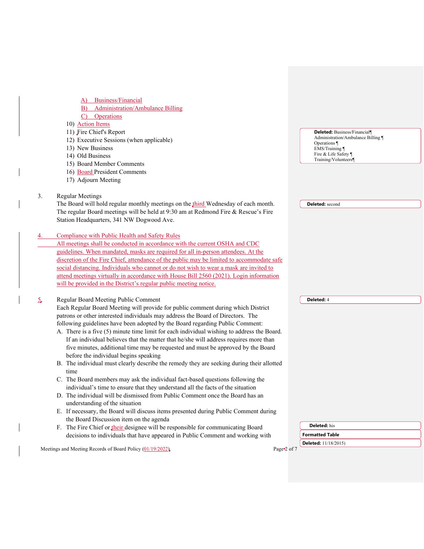| Business/Financial<br>A)<br><b>Administration/Ambulance Billing</b><br>B)<br>C) Operations<br>10) Action Items<br>11) Fire Chief's Report<br><b>Deleted:</b> Business/Financial¶ |  |
|----------------------------------------------------------------------------------------------------------------------------------------------------------------------------------|--|
|                                                                                                                                                                                  |  |
|                                                                                                                                                                                  |  |
|                                                                                                                                                                                  |  |
|                                                                                                                                                                                  |  |
|                                                                                                                                                                                  |  |
| Administration/Ambulance Billing<br>12) Executive Sessions (when applicable)                                                                                                     |  |
| Operations                                                                                                                                                                       |  |
| 13) New Business<br>EMS/Training ¶<br>Fire & Life Safety                                                                                                                         |  |
| 14) Old Business<br>Training/Volunteers¶                                                                                                                                         |  |
| 15) Board Member Comments                                                                                                                                                        |  |
| 16) Board President Comments                                                                                                                                                     |  |
| 17) Adjourn Meeting                                                                                                                                                              |  |
| <b>Regular Meetings</b><br>3.                                                                                                                                                    |  |
| The Board will hold regular monthly meetings on the third Wednesday of each month.<br><b>Deleted:</b> second                                                                     |  |
| The regular Board meetings will be held at 9:30 am at Redmond Fire & Rescue's Fire                                                                                               |  |
| Station Headquarters, 341 NW Dogwood Ave.                                                                                                                                        |  |
|                                                                                                                                                                                  |  |
| Compliance with Public Health and Safety Rules                                                                                                                                   |  |
| All meetings shall be conducted in accordance with the current OSHA and CDC                                                                                                      |  |
| guidelines. When mandated, masks are required for all in-person attendees. At the                                                                                                |  |
| discretion of the Fire Chief, attendance of the public may be limited to accommodate safe                                                                                        |  |
| social distancing. Individuals who cannot or do not wish to wear a mask are invited to                                                                                           |  |
| attend meetings virtually in accordance with House Bill 2560 (2021). Login information                                                                                           |  |
| will be provided in the District's regular public meeting notice.                                                                                                                |  |
| Regular Board Meeting Public Comment<br>Deleted: 4                                                                                                                               |  |
| Each Regular Board Meeting will provide for public comment during which District                                                                                                 |  |
| patrons or other interested individuals may address the Board of Directors. The                                                                                                  |  |
| following guidelines have been adopted by the Board regarding Public Comment:                                                                                                    |  |
| A. There is a five (5) minute time limit for each individual wishing to address the Board.                                                                                       |  |
| If an individual believes that the matter that he/she will address requires more than                                                                                            |  |
|                                                                                                                                                                                  |  |
| five minutes, additional time may be requested and must be approved by the Board<br>before the individual begins speaking                                                        |  |
|                                                                                                                                                                                  |  |
| B. The individual must clearly describe the remedy they are seeking during their allotted<br>time                                                                                |  |
| C. The Board members may ask the individual fact-based questions following the                                                                                                   |  |
| individual's time to ensure that they understand all the facts of the situation                                                                                                  |  |
| D. The individual will be dismissed from Public Comment once the Board has an                                                                                                    |  |
| understanding of the situation                                                                                                                                                   |  |
| E. If necessary, the Board will discuss items presented during Public Comment during                                                                                             |  |
| the Board Discussion item on the agenda                                                                                                                                          |  |
| Deleted: his<br>F. The Fire Chief or their designee will be responsible for communicating Board                                                                                  |  |
| decisions to individuals that have appeared in Public Comment and working with<br><b>Formatted Table</b>                                                                         |  |
| <b>Deleted:</b> 11/18/2015)<br>Meetings and Meeting Records of Board Policy (01/19/2022)<br>Page 2 of 7                                                                          |  |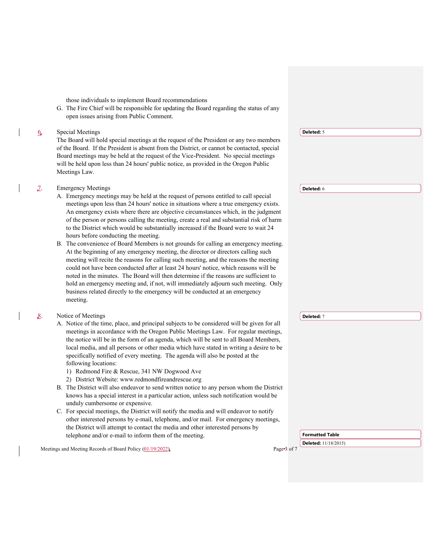those individuals to implement Board recommendations

 $\overline{\phantom{a}}$ 

 $\overline{\phantom{a}}$ 

 $\overline{\phantom{a}}$ 

 $\overline{\phantom{a}}$ 

G. The Fire Chief will be responsible for updating the Board regarding the status of any open issues arising from Public Comment.

|    | <b>Special Meetings</b>                                                                                                                                                       | Deleted: 5                  |
|----|-------------------------------------------------------------------------------------------------------------------------------------------------------------------------------|-----------------------------|
|    | The Board will hold special meetings at the request of the President or any two members                                                                                       |                             |
|    | of the Board. If the President is absent from the District, or cannot be contacted, special                                                                                   |                             |
|    | Board meetings may be held at the request of the Vice-President. No special meetings<br>will be held upon less than 24 hours' public notice, as provided in the Oregon Public |                             |
|    | Meetings Law.                                                                                                                                                                 |                             |
|    |                                                                                                                                                                               |                             |
| 7. | <b>Emergency Meetings</b>                                                                                                                                                     | Deleted: 6                  |
|    | A. Emergency meetings may be held at the request of persons entitled to call special                                                                                          |                             |
|    | meetings upon less than 24 hours' notice in situations where a true emergency exists.                                                                                         |                             |
|    | An emergency exists where there are objective circumstances which, in the judgment                                                                                            |                             |
|    | of the person or persons calling the meeting, create a real and substantial risk of harm                                                                                      |                             |
|    | to the District which would be substantially increased if the Board were to wait 24                                                                                           |                             |
|    | hours before conducting the meeting.                                                                                                                                          |                             |
|    | B. The convenience of Board Members is not grounds for calling an emergency meeting.                                                                                          |                             |
|    | At the beginning of any emergency meeting, the director or directors calling such                                                                                             |                             |
|    | meeting will recite the reasons for calling such meeting, and the reasons the meeting<br>could not have been conducted after at least 24 hours' notice, which reasons will be |                             |
|    | noted in the minutes. The Board will then determine if the reasons are sufficient to                                                                                          |                             |
|    | hold an emergency meeting and, if not, will immediately adjourn such meeting. Only                                                                                            |                             |
|    | business related directly to the emergency will be conducted at an emergency                                                                                                  |                             |
|    | meeting.                                                                                                                                                                      |                             |
|    |                                                                                                                                                                               |                             |
|    | Notice of Meetings                                                                                                                                                            | Deleted: 7                  |
|    | A. Notice of the time, place, and principal subjects to be considered will be given for all                                                                                   |                             |
|    | meetings in accordance with the Oregon Public Meetings Law. For regular meetings,                                                                                             |                             |
|    | the notice will be in the form of an agenda, which will be sent to all Board Members,                                                                                         |                             |
|    | local media, and all persons or other media which have stated in writing a desire to be                                                                                       |                             |
|    | specifically notified of every meeting. The agenda will also be posted at the<br>following locations:                                                                         |                             |
|    | 1) Redmond Fire & Rescue, 341 NW Dogwood Ave                                                                                                                                  |                             |
|    | 2) District Website: www.redmondfireandrescue.org                                                                                                                             |                             |
|    | B. The District will also endeavor to send written notice to any person whom the District                                                                                     |                             |
|    | knows has a special interest in a particular action, unless such notification would be                                                                                        |                             |
|    | unduly cumbersome or expensive.                                                                                                                                               |                             |
|    | C. For special meetings, the District will notify the media and will endeavor to notify                                                                                       |                             |
|    | other interested persons by e-mail, telephone, and/or mail. For emergency meetings,                                                                                           |                             |
|    | the District will attempt to contact the media and other interested persons by                                                                                                |                             |
|    | telephone and/or e-mail to inform them of the meeting.                                                                                                                        | <b>Formatted Table</b>      |
|    |                                                                                                                                                                               | <b>Deleted:</b> 11/18/2015) |
|    | Meetings and Meeting Records of Board Policy (01/19/2022)<br>Page 3.0f7                                                                                                       |                             |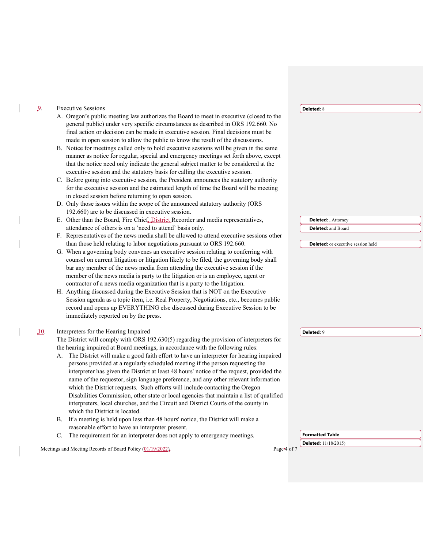|      | <b>Executive Sessions</b>                                                                                                                                                | Deleted: 8                                |
|------|--------------------------------------------------------------------------------------------------------------------------------------------------------------------------|-------------------------------------------|
|      | A. Oregon's public meeting law authorizes the Board to meet in executive (closed to the                                                                                  |                                           |
|      | general public) under very specific circumstances as described in ORS 192.660. No                                                                                        |                                           |
|      | final action or decision can be made in executive session. Final decisions must be                                                                                       |                                           |
|      | made in open session to allow the public to know the result of the discussions.                                                                                          |                                           |
|      | B. Notice for meetings called only to hold executive sessions will be given in the same                                                                                  |                                           |
|      | manner as notice for regular, special and emergency meetings set forth above, except                                                                                     |                                           |
|      | that the notice need only indicate the general subject matter to be considered at the                                                                                    |                                           |
|      | executive session and the statutory basis for calling the executive session.                                                                                             |                                           |
|      | C. Before going into executive session, the President announces the statutory authority                                                                                  |                                           |
|      | for the executive session and the estimated length of time the Board will be meeting                                                                                     |                                           |
|      | in closed session before returning to open session.                                                                                                                      |                                           |
|      | D. Only those issues within the scope of the announced statutory authority (ORS                                                                                          |                                           |
|      | 192.660) are to be discussed in executive session.                                                                                                                       |                                           |
|      | E. Other than the Board, Fire Chief. District Recorder and media representatives,                                                                                        | <b>Deleted:</b> , Attorney                |
|      | attendance of others is on a 'need to attend' basis only.                                                                                                                | Deleted: and Board                        |
|      | F. Representatives of the news media shall be allowed to attend executive sessions other                                                                                 |                                           |
|      | than those held relating to labor negotiations pursuant to ORS 192.660.                                                                                                  | <b>Deleted:</b> or executive session held |
|      | G. When a governing body convenes an executive session relating to conferring with                                                                                       |                                           |
|      | counsel on current litigation or litigation likely to be filed, the governing body shall<br>bar any member of the news media from attending the executive session if the |                                           |
|      | member of the news media is party to the litigation or is an employee, agent or                                                                                          |                                           |
|      | contractor of a news media organization that is a party to the litigation.                                                                                               |                                           |
|      | H. Anything discussed during the Executive Session that is NOT on the Executive                                                                                          |                                           |
|      | Session agenda as a topic item, i.e. Real Property, Negotiations, etc., becomes public                                                                                   |                                           |
|      | record and opens up EVERYTHING else discussed during Executive Session to be                                                                                             |                                           |
|      | immediately reported on by the press.                                                                                                                                    |                                           |
|      |                                                                                                                                                                          |                                           |
| .10. | Interpreters for the Hearing Impaired                                                                                                                                    | Deleted: 9                                |
|      | The District will comply with ORS 192.630(5) regarding the provision of interpreters for                                                                                 |                                           |
|      | the hearing impaired at Board meetings, in accordance with the following rules:                                                                                          |                                           |
|      | The District will make a good faith effort to have an interpreter for hearing impaired<br>А.                                                                             |                                           |
|      | persons provided at a regularly scheduled meeting if the person requesting the                                                                                           |                                           |
|      | interpreter has given the District at least 48 hours' notice of the request, provided the                                                                                |                                           |
|      | name of the requestor, sign language preference, and any other relevant information                                                                                      |                                           |
|      | which the District requests. Such efforts will include contacting the Oregon                                                                                             |                                           |
|      | Disabilities Commission, other state or local agencies that maintain a list of qualified                                                                                 |                                           |
|      | interpreters, local churches, and the Circuit and District Courts of the county in                                                                                       |                                           |
|      | which the District is located.                                                                                                                                           |                                           |
|      | If a meeting is held upon less than 48 hours' notice, the District will make a<br>В.                                                                                     |                                           |
|      | reasonable effort to have an interpreter present.                                                                                                                        |                                           |
|      | C. The requirement for an interpreter does not apply to emergency meetings.                                                                                              | <b>Formatted Table</b>                    |
|      | Meetings and Meeting Records of Board Policy (01/19/2022)<br>Page of                                                                                                     | Deleted: 11/18/2015)                      |
|      |                                                                                                                                                                          |                                           |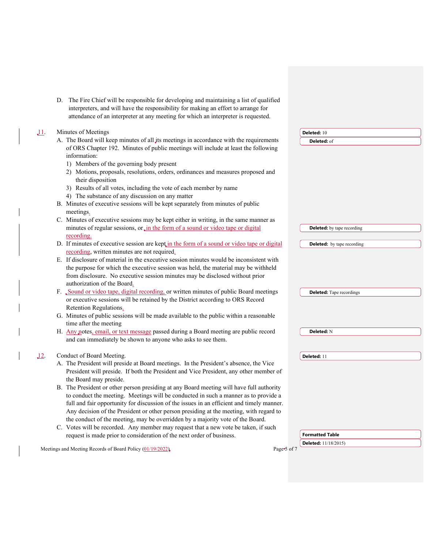D. The Fire Chief will be responsible for developing and maintaining a list of qualified interpreters, and will have the responsibility for making an effort to arrange for attendance of an interpreter at any meeting for which an interpreter is requested.

 $\overline{\mathbf{I}}$ 

 $\begin{array}{c} \hline \end{array}$ 

| 11. | Minutes of Meetings                                                                         | Deleted: 10                       |
|-----|---------------------------------------------------------------------------------------------|-----------------------------------|
|     | A. The Board will keep minutes of all its meetings in accordance with the requirements      | Deleted: of                       |
|     | of ORS Chapter 192. Minutes of public meetings will include at least the following          |                                   |
|     | information:                                                                                |                                   |
|     | 1) Members of the governing body present                                                    |                                   |
|     | 2) Motions, proposals, resolutions, orders, ordinances and measures proposed and            |                                   |
|     | their disposition                                                                           |                                   |
|     | 3) Results of all votes, including the vote of each member by name                          |                                   |
|     | 4) The substance of any discussion on any matter                                            |                                   |
|     | B. Minutes of executive sessions will be kept separately from minutes of public             |                                   |
|     | meetings.                                                                                   |                                   |
|     | C. Minutes of executive sessions may be kept either in writing, in the same manner as       |                                   |
|     | minutes of regular sessions, or in the form of a sound or video tape or digital             | <b>Deleted:</b> by tape recording |
|     | recording.                                                                                  |                                   |
|     | D. If minutes of executive session are kept in the form of a sound or video tape or digital | <b>Deleted:</b> by tape recording |
|     | recording, written minutes are not required.                                                |                                   |
|     | E. If disclosure of material in the executive session minutes would be inconsistent with    |                                   |
|     | the purpose for which the executive session was held, the material may be withheld          |                                   |
|     | from disclosure. No executive session minutes may be disclosed without prior                |                                   |
|     | authorization of the Board.                                                                 |                                   |
|     | F. Sound or video tape, digital recording, or written minutes of public Board meetings      | <b>Deleted:</b> Tape recordings   |
|     | or executive sessions will be retained by the District according to ORS Record              |                                   |
|     | Retention Regulations.                                                                      |                                   |
|     | G. Minutes of public sessions will be made available to the public within a reasonable      |                                   |
|     | time after the meeting                                                                      |                                   |
|     | H. Any notes, email, or text message passed during a Board meeting are public record        | Deleted: N                        |
|     | and can immediately be shown to anyone who asks to see them.                                |                                   |
|     |                                                                                             |                                   |
|     | Conduct of Board Meeting.                                                                   | Deleted: 11                       |
|     | A. The President will preside at Board meetings. In the President's absence, the Vice       |                                   |
|     | President will preside. If both the President and Vice President, any other member of       |                                   |
|     | the Board may preside.                                                                      |                                   |
|     | B. The President or other person presiding at any Board meeting will have full authority    |                                   |
|     | to conduct the meeting. Meetings will be conducted in such a manner as to provide a         |                                   |
|     | full and fair opportunity for discussion of the issues in an efficient and timely manner.   |                                   |
|     | Any decision of the President or other person presiding at the meeting, with regard to      |                                   |
|     | the conduct of the meeting, may be overridden by a majority vote of the Board.              |                                   |
|     | C. Votes will be recorded. Any member may request that a new vote be taken, if such         |                                   |
|     | request is made prior to consideration of the next order of business.                       | <b>Formatted Table</b>            |
|     |                                                                                             | Deleted: 11/18/2015)              |
|     | Meetings and Meeting Records of Board Policy (01/19/2022)<br>Page 5 of 7                    |                                   |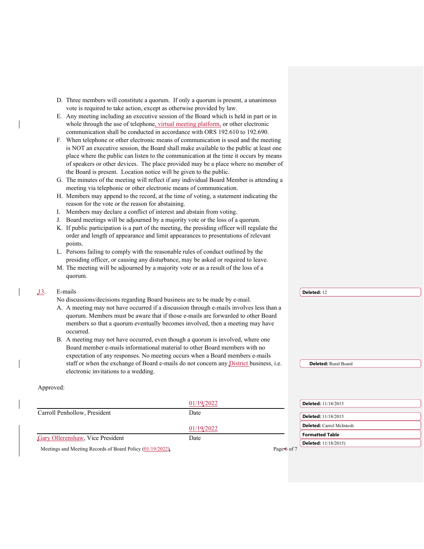- D. Three members will constitute a quorum. If only a quorum is present, a unanimous vote is required to take action, except as otherwise provided by law.
- E. Any meeting including an executive session of the Board which is held in part or in whole through the use of telephone, virtual meeting platform, or other electronic communication shall be conducted in accordance with ORS 192.610 to 192.690.
- F. When telephone or other electronic means of communication is used and the meeting is NOT an executive session, the Board shall make available to the public at least one place where the public can listen to the communication at the time it occurs by means of speakers or other devices. The place provided may be a place where no member of the Board is present. Location notice will be given to the public.
- G. The minutes of the meeting will reflect if any individual Board Member is attending a meeting via telephonic or other electronic means of communication.
- H. Members may append to the record, at the time of voting, a statement indicating the reason for the vote or the reason for abstaining.
- I. Members may declare a conflict of interest and abstain from voting.
- J. Board meetings will be adjourned by a majority vote or the loss of a quorum.
- K. If public participation is a part of the meeting, the presiding officer will regulate the order and length of appearance and limit appearances to presentations of relevant points.
- L. Persons failing to comply with the reasonable rules of conduct outlined by the presiding officer, or causing any disturbance, may be asked or required to leave.
- M. The meeting will be adjourned by a majority vote or as a result of the loss of a quorum.

| E-mails                                                                                 | Deleted: 12                 |
|-----------------------------------------------------------------------------------------|-----------------------------|
| No discussions/decisions regarding Board business are to be made by e-mail.             |                             |
| A. A meeting may not have occurred if a discussion through e-mails involves less than a |                             |
| quorum. Members must be aware that if those e-mails are forwarded to other Board        |                             |
| members so that a quorum eventually becomes involved, then a meeting may have           |                             |
| occurred.                                                                               |                             |
| B. A meeting may not have occurred, even though a quorum is involved, where one         |                             |
| Board member e-mails informational material to other Board members with no              |                             |
| expectation of any responses. No meeting occurs when a Board members e-mails            |                             |
| staff or when the exchange of Board e-mails do not concern any District business, i.e.  | <b>Deleted:</b> Rural Board |
| electronic invitations to a wedding.                                                    |                             |
|                                                                                         |                             |

#### Approved:

|                                                            | 01/19/2022 |  | <b>Deleted:</b> 11/18/2015      |
|------------------------------------------------------------|------------|--|---------------------------------|
| Carroll Penhollow, President                               | Date       |  | <b>Deleted:</b> 11/18/2015      |
|                                                            | 01/19/2022 |  | <b>Deleted:</b> Carrol McIntosh |
| Gary Ollerenshaw, Vice President                           | Date       |  | Formatted Table                 |
| Meetings and Meeting Records of Board Policy (01/19/2022). |            |  | <b>Deleted:</b> 11/18/2015)     |